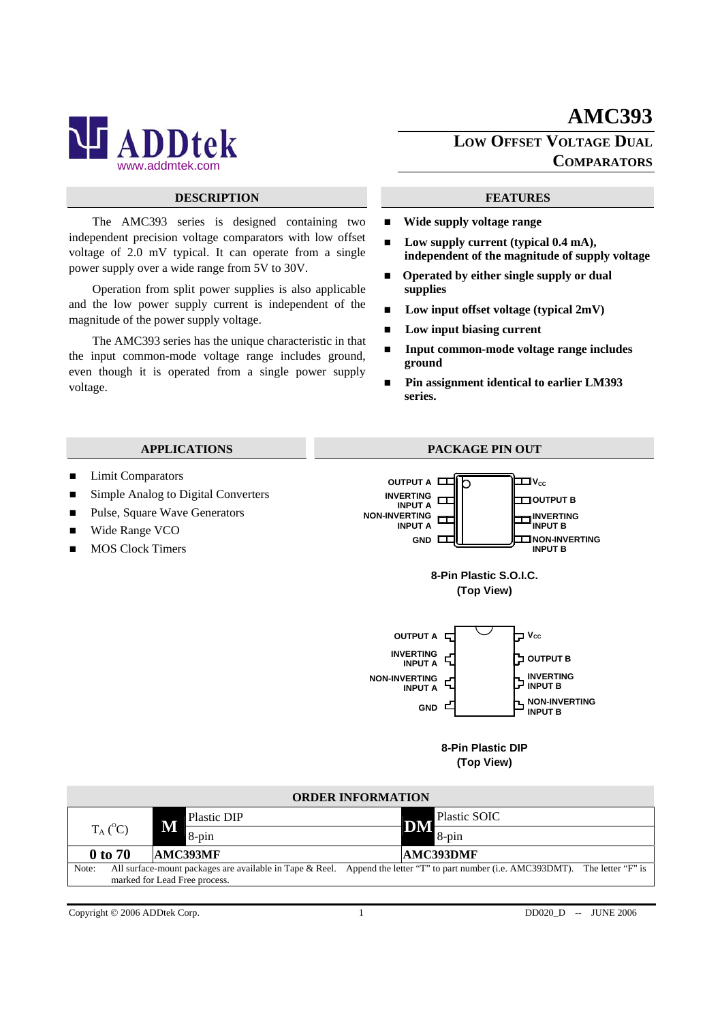

### **DESCRIPTION FEATURES**

The AMC393 series is designed containing two independent precision voltage comparators with low offset voltage of 2.0 mV typical. It can operate from a single power supply over a wide range from 5V to 30V.

Operation from split power supplies is also applicable and the low power supply current is independent of the magnitude of the power supply voltage.

The AMC393 series has the unique characteristic in that the input common-mode voltage range includes ground, even though it is operated from a single power supply voltage.

## **AMC393 LOW OFFSET VOLTAGE DUAL COMPARATORS**

- **Wide supply voltage range**
- Low supply current (typical 0.4 mA). **independent of the magnitude of supply voltage**
- Operated by either single supply or dual **supplies**
- Low input offset voltage (typical 2mV)
- **Low input biasing current**
- **Input common-mode voltage range includes ground**
- Pin assignment identical to earlier LM393 **series.**



| <b>ORDER INFORMATION</b> |         |                               |                                                                                                                                   |  |  |  |  |  |  |  |  |  |
|--------------------------|---------|-------------------------------|-----------------------------------------------------------------------------------------------------------------------------------|--|--|--|--|--|--|--|--|--|
| $T_A (^0C)$              |         | Plastic DIP                   | Plastic SOIC                                                                                                                      |  |  |  |  |  |  |  |  |  |
|                          |         | M<br>8-pin                    | DM<br>$8$ -pin                                                                                                                    |  |  |  |  |  |  |  |  |  |
|                          | 0 to 70 | AMC393MF                      | AMC393DMF                                                                                                                         |  |  |  |  |  |  |  |  |  |
| Note:                    |         |                               | All surface-mount packages are available in Tape & Reel. Append the letter "T" to part number (i.e. AMC393DMT). The letter "F" is |  |  |  |  |  |  |  |  |  |
|                          |         | marked for Lead Free process. |                                                                                                                                   |  |  |  |  |  |  |  |  |  |

Copyright © 2006 ADDtek Corp. 1 1 DD020\_D -- JUNE 2006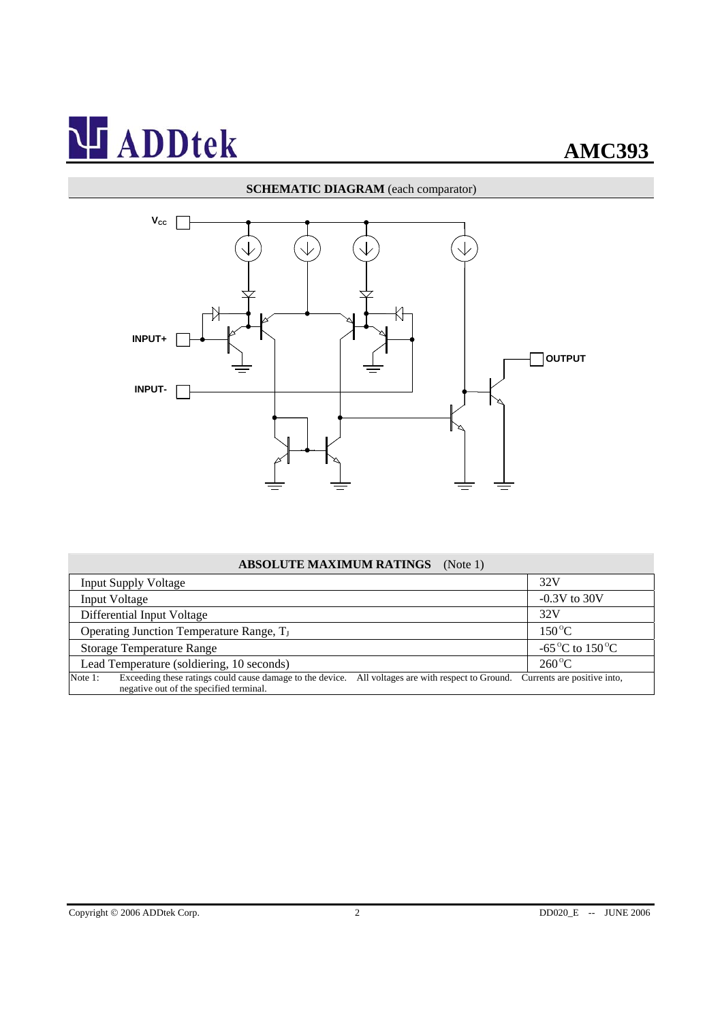### **SCHEMATIC DIAGRAM** (each comparator)



### **ABSOLUTE MAXIMUM RATINGS** (Note 1)

| <b>Input Supply Voltage</b>                                                                                                                              | 32V                                      |  |  |
|----------------------------------------------------------------------------------------------------------------------------------------------------------|------------------------------------------|--|--|
| <b>Input Voltage</b>                                                                                                                                     | $-0.3V$ to 30V                           |  |  |
| Differential Input Voltage                                                                                                                               | 32V                                      |  |  |
| Operating Junction Temperature Range, T <sub>J</sub>                                                                                                     | $150^{\circ}$ C                          |  |  |
| <b>Storage Temperature Range</b>                                                                                                                         | -65 <sup>o</sup> C to 150 <sup>o</sup> C |  |  |
| Lead Temperature (soldiering, 10 seconds)                                                                                                                | $260^{\circ}$ C                          |  |  |
| Exceeding these ratings could cause damage to the device. All voltages are with respect to Ground.<br>Note 1:<br>negative out of the specified terminal. | Currents are positive into,              |  |  |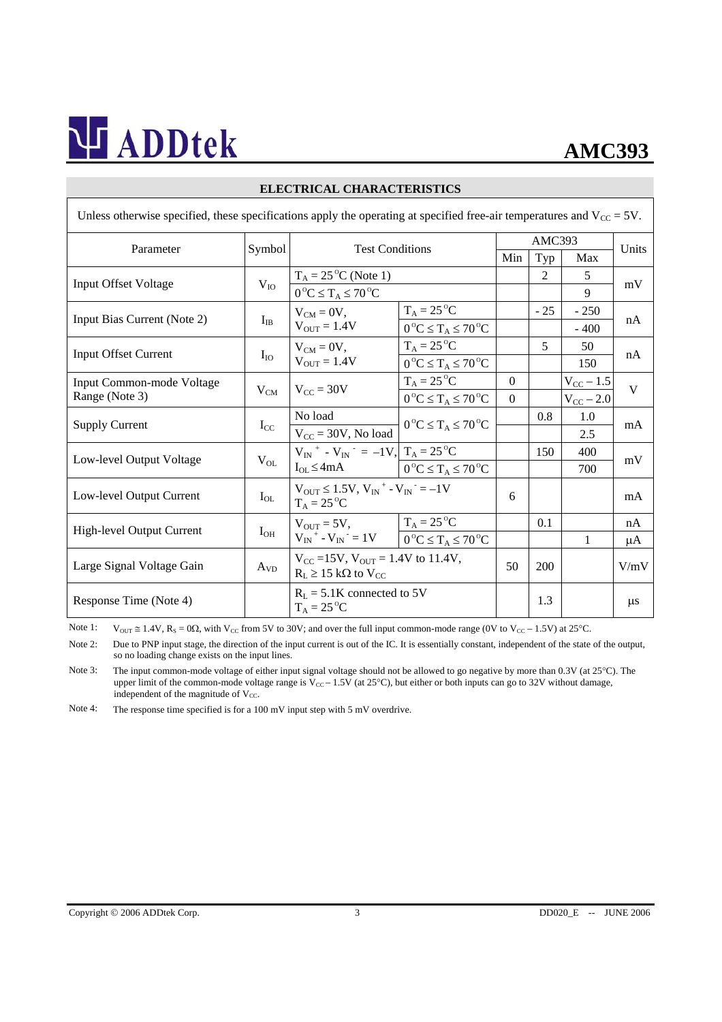## **AMC393**

| Unless otherwise specified, these specifications apply the operating at specified free-air temperatures and $V_{\text{CC}} = 5V$ . |          |                                                                                                               |                                        |          |                |                |         |  |  |  |
|------------------------------------------------------------------------------------------------------------------------------------|----------|---------------------------------------------------------------------------------------------------------------|----------------------------------------|----------|----------------|----------------|---------|--|--|--|
|                                                                                                                                    | Symbol   | <b>Test Conditions</b>                                                                                        |                                        | AMC393   |                |                |         |  |  |  |
| Parameter                                                                                                                          |          |                                                                                                               |                                        | Min      | Typ            | Max            | Units   |  |  |  |
| <b>Input Offset Voltage</b>                                                                                                        | $V_{IO}$ | $T_A = 25$ <sup>o</sup> C (Note 1)                                                                            |                                        |          | $\mathfrak{D}$ | 5              | mV      |  |  |  |
|                                                                                                                                    |          | $0^{\circ}C \leq T_A \leq 70^{\circ}C$                                                                        |                                        |          |                | 9              |         |  |  |  |
| Input Bias Current (Note 2)                                                                                                        | $I_{IB}$ | $V_{CM} = 0V$ ,<br>$V_{OUT} = 1.4V$                                                                           | $T_A = 25$ <sup>o</sup> C              |          | $-25$          | $-250$         | nA      |  |  |  |
|                                                                                                                                    |          |                                                                                                               | $0^{\circ}C \leq T_A \leq 70^{\circ}C$ |          |                | $-400$         |         |  |  |  |
| <b>Input Offset Current</b>                                                                                                        | $I_{IO}$ | $V_{CM} = 0V$ ,<br>$V_{OUT} = 1.4V$                                                                           | $T_A = 25$ <sup>o</sup> C              |          | 5              | 50             | nA      |  |  |  |
|                                                                                                                                    |          |                                                                                                               | $0^{\circ}C \leq T_A \leq 70^{\circ}C$ |          |                | 150            |         |  |  |  |
| Input Common-mode Voltage                                                                                                          | $V_{CM}$ | $V_{\text{CC}} = 30V$                                                                                         | $T_A = 25$ <sup>o</sup> C              | $\Omega$ |                | $V_{CC}$ – 1.5 | V       |  |  |  |
| Range (Note 3)                                                                                                                     |          |                                                                                                               | $0^{\circ}C \leq T_A \leq 70^{\circ}C$ | $\Omega$ |                | $V_{CC}$ – 2.0 |         |  |  |  |
| <b>Supply Current</b>                                                                                                              | $I_{CC}$ | No load                                                                                                       | $0^{\circ}C \leq T_A \leq 70^{\circ}C$ |          | 0.8            | 1.0            | mA      |  |  |  |
|                                                                                                                                    |          | $\rm V_{CC}$ = 30V, No load                                                                                   |                                        |          |                | 2.5            |         |  |  |  |
| Low-level Output Voltage                                                                                                           | $V_{OL}$ | $V_{IN}$ + - $V_{IN}$ = -1V, $T_A = 25$ °C<br>$I_{OL} \leq 4mA$                                               |                                        |          | 150            | 400            | mV      |  |  |  |
|                                                                                                                                    |          |                                                                                                               | $0^{\circ}C \leq T_A \leq 70^{\circ}C$ |          |                | 700            |         |  |  |  |
| Low-level Output Current                                                                                                           | $I_{OL}$ | $V_{OUT} \le 1.5V, V_{IN}^+ - V_{IN}^- = -1V$<br>$T_A = 25$ <sup>o</sup> C                                    |                                        | 6        |                |                | mA      |  |  |  |
|                                                                                                                                    |          |                                                                                                               |                                        |          |                |                |         |  |  |  |
| High-level Output Current                                                                                                          | $I_{OH}$ | $V_{\text{OUT}} = 5V,$ $T_A = 25^{\circ}C$<br>$V_{IN}^+ - V_{IN}^- = 1V$ $0^{\circ}C \le T_A \le 70^{\circ}C$ |                                        |          | 0.1            |                | nA      |  |  |  |
|                                                                                                                                    |          |                                                                                                               |                                        |          |                | 1              | μA      |  |  |  |
| Large Signal Voltage Gain                                                                                                          | $A_{VD}$ | $V_{CC} = 15V$ , $V_{OUT} = 1.4V$ to 11.4V,<br>$R_L \ge 15$ kΩ to V <sub>CC</sub>                             |                                        | 50       | 200            |                | V/mV    |  |  |  |
|                                                                                                                                    |          |                                                                                                               |                                        |          |                |                |         |  |  |  |
| Response Time (Note 4)                                                                                                             |          | $R_L = 5.1K$ connected to 5V<br>$T_A = 25^{\circ}C$                                                           |                                        |          | 1.3            |                | $\mu$ s |  |  |  |

### **ELECTRICAL CHARACTERISTICS**

Note 1:  $V_{OUT} \cong 1.4V$ ,  $R_S = 0\Omega$ , with  $V_{CC}$  from 5V to 30V; and over the full input common-mode range (0V to  $V_{CC} - 1.5V$ ) at 25°C.

Note 2: Due to PNP input stage, the direction of the input current is out of the IC. It is essentially constant, independent of the state of the output, so no loading change exists on the input lines.

Note 3: The input common-mode voltage of either input signal voltage should not be allowed to go negative by more than 0.3V (at 25°C). The upper limit of the common-mode voltage range is  $V_{CC}$  – 1.5V (at 25°C), but either or both inputs can go to 32V without damage, independent of the magnitude of  $V_{CC}$ .

Note 4: The response time specified is for a 100 mV input step with 5 mV overdrive.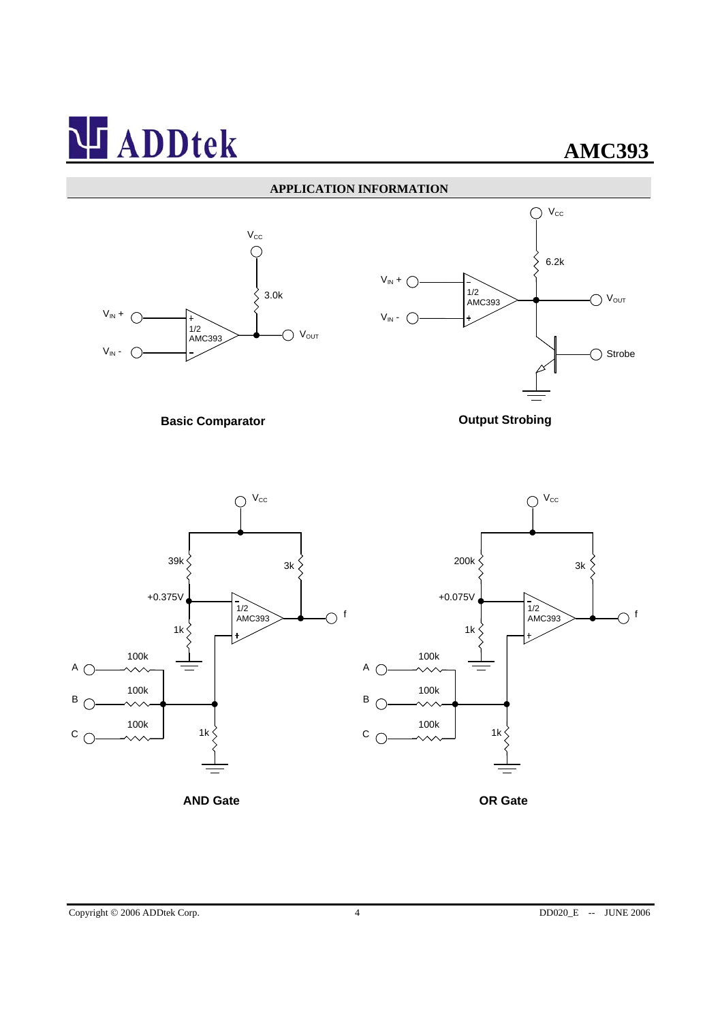### **APPLICATION INFORMATION**





**Basic Comparator Comparator Comparator Comparator Comparator Comparator Comparator Comparator Comparator Comparator Comparator Comparator Comparator Comparator Comparator Comparator Comparator Comparator Comparator Compar** 



**AND Gate OR Gate**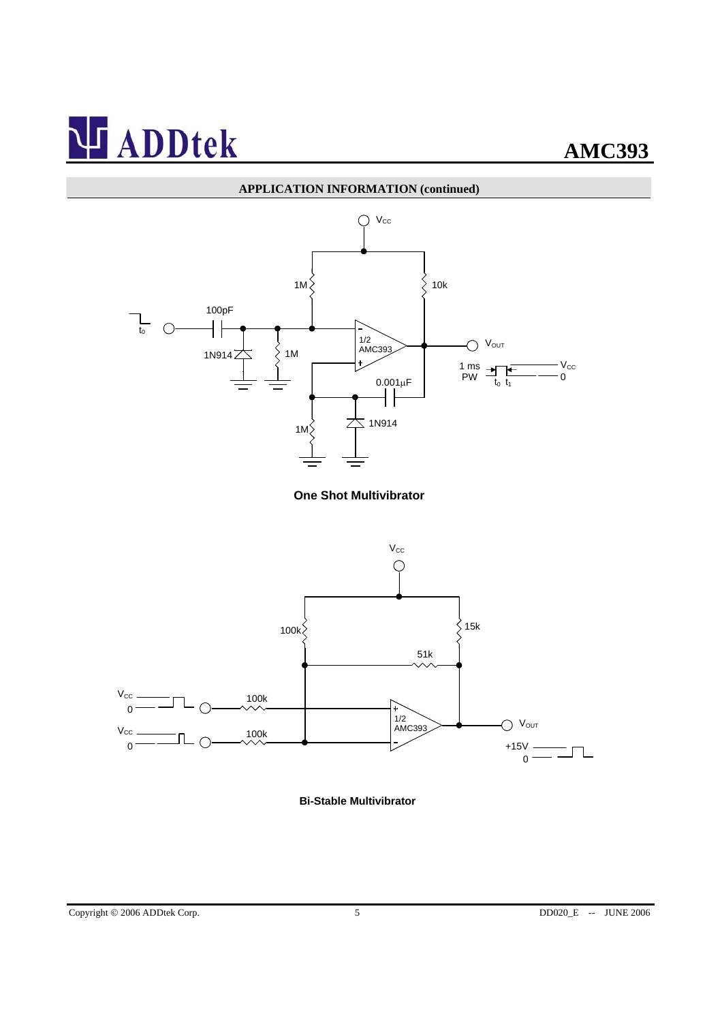

**One Shot Multivibrator** 



**Bi-Stable Multivibrator**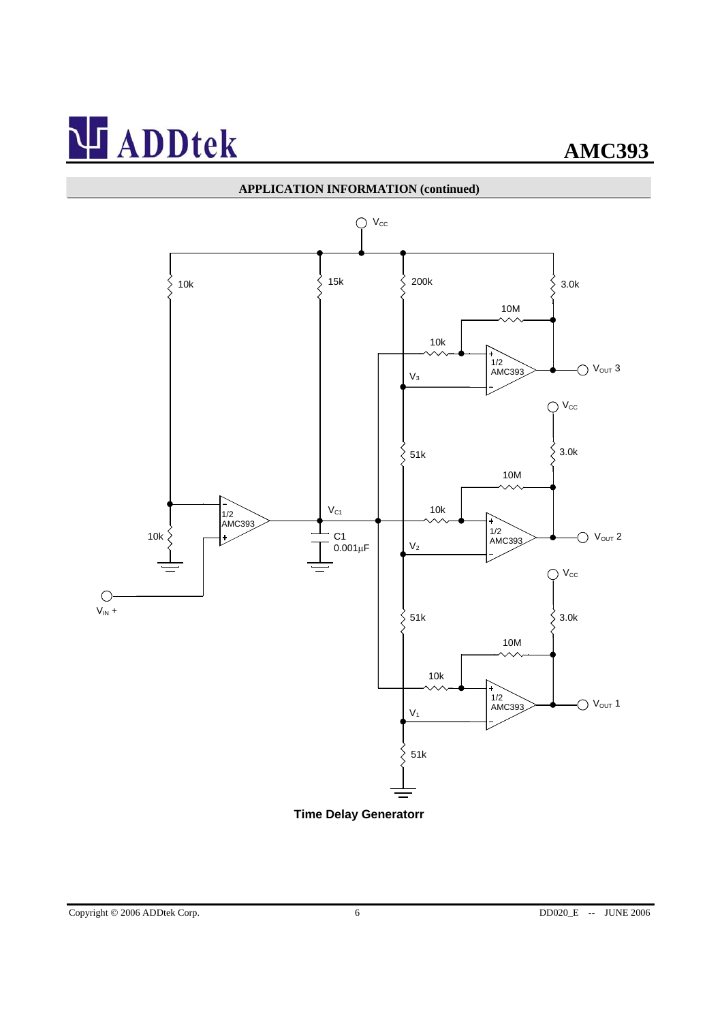

**Time Delay Generatorr**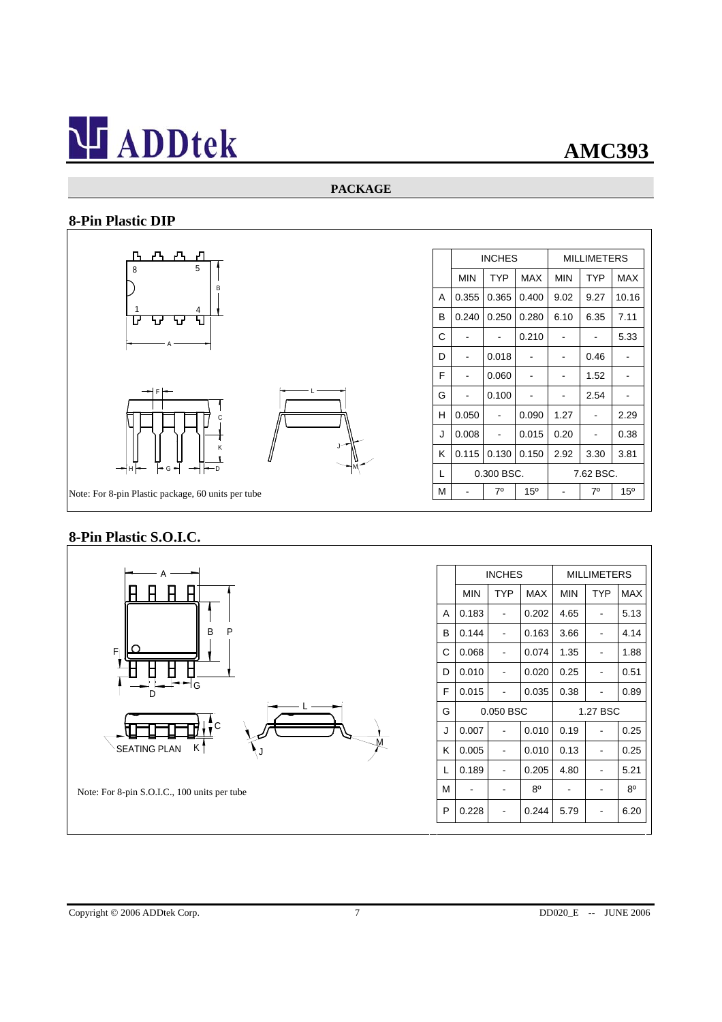### **PACKAGE**

## **8-Pin Plastic DIP**



## **8-Pin Plastic S.O.I.C.**